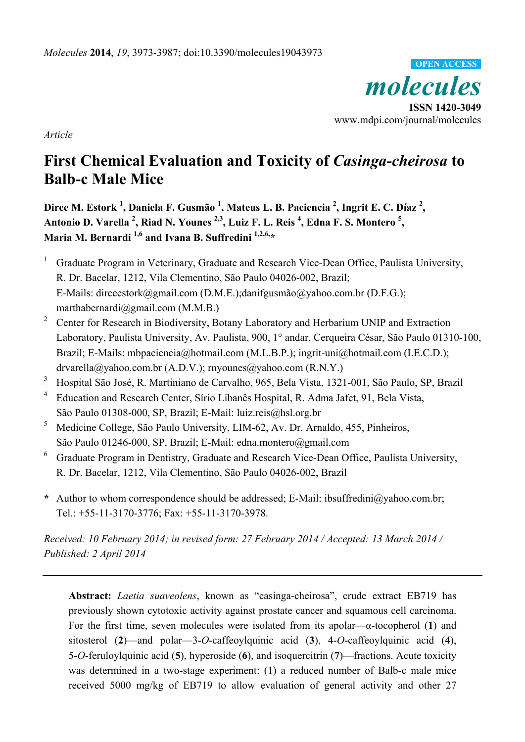*molecules*  **ISSN 1420-3049**  www.mdpi.com/journal/molecules **OPEN ACCESS**

*Article* 

# **First Chemical Evaluation and Toxicity of** *Casinga-cheirosa* **to Balb-c Male Mice**

**Dirce M. Estork 1 , Daniela F. Gusmão 1 , Mateus L. B. Paciencia 2 , Ingrit E. C. Díaz <sup>2</sup> ,**  Antonio D. Varella <sup>2</sup>, Riad N. Younes <sup>2,3</sup>, Luiz F. L. Reis <sup>4</sup>, Edna F. S. Montero <sup>5</sup>, **Maria M. Bernardi 1,6 and Ivana B. Suffredini 1,2,6,\*** 

- 1 Graduate Program in Veterinary, Graduate and Research Vice-Dean Office, Paulista University, R. Dr. Bacelar, 1212, Vila Clementino, São Paulo 04026-002, Brazil; E-Mails: dirceestork@gmail.com (D.M.E.);danifgusmão@yahoo.com.br (D.F.G.); marthabernardi@gmail.com (M.M.B.)
- <sup>2</sup> Center for Research in Biodiversity, Botany Laboratory and Herbarium UNIP and Extraction Laboratory, Paulista University, Av. Paulista, 900, 1° andar, Cerqueira César, São Paulo 01310-100, Brazil; E-Mails: mbpaciencia@hotmail.com (M.L.B.P.); ingrit-uni@hotmail.com (I.E.C.D.); drvarella@yahoo.com.br (A.D.V.); rnyounes@yahoo.com (R.N.Y.)
- 3 Hospital São José, R. Martiniano de Carvalho, 965, Bela Vista, 1321-001, São Paulo, SP, Brazil
- 4 Education and Research Center, Sírio Libanês Hospital, R. Adma Jafet, 91, Bela Vista, São Paulo 01308-000, SP, Brazil; E-Mail: luiz.reis@hsl.org.br
- 5 Medicine College, São Paulo University, LIM-62, Av. Dr. Arnaldo, 455, Pinheiros, São Paulo 01246-000, SP, Brazil; E-Mail: edna.montero@gmail.com
- $6$  Graduate Program in Dentistry, Graduate and Research Vice-Dean Office, Paulista University, R. Dr. Bacelar, 1212, Vila Clementino, São Paulo 04026-002, Brazil
- **\*** Author to whom correspondence should be addressed; E-Mail: ibsuffredini@yahoo.com.br; Tel.: +55-11-3170-3776; Fax: +55-11-3170-3978.

*Received: 10 February 2014; in revised form: 27 February 2014 / Accepted: 13 March 2014 / Published: 2 April 2014* 

**Abstract:** *Laetia suaveolens*, known as "casinga-cheirosa", crude extract EB719 has previously shown cytotoxic activity against prostate cancer and squamous cell carcinoma. For the first time, seven molecules were isolated from its apolar—α-tocopherol (**1**) and sitosterol (**2**)—and polar—3-*O*-caffeoylquinic acid (**3**), 4-*O*-caffeoylquinic acid (**4**), 5-*O*-feruloylquinic acid (**5**), hyperoside (**6**), and isoquercitrin (**7**)—fractions. Acute toxicity was determined in a two-stage experiment: (1) a reduced number of Balb-c male mice received 5000 mg/kg of EB719 to allow evaluation of general activity and other 27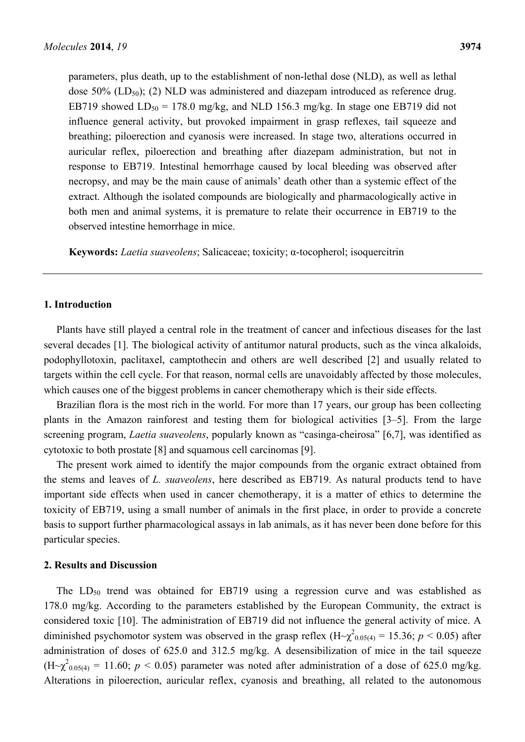parameters, plus death, up to the establishment of non-lethal dose (NLD), as well as lethal dose 50% ( $LD_{50}$ ); (2) NLD was administered and diazepam introduced as reference drug. EB719 showed  $LD_{50} = 178.0$  mg/kg, and NLD 156.3 mg/kg. In stage one EB719 did not influence general activity, but provoked impairment in grasp reflexes, tail squeeze and breathing; piloerection and cyanosis were increased. In stage two, alterations occurred in auricular reflex, piloerection and breathing after diazepam administration, but not in response to EB719. Intestinal hemorrhage caused by local bleeding was observed after necropsy, and may be the main cause of animals' death other than a systemic effect of the extract. Although the isolated compounds are biologically and pharmacologically active in both men and animal systems, it is premature to relate their occurrence in EB719 to the

observed intestine hemorrhage in mice.

**Keywords:** *Laetia suaveolens*; Salicaceae; toxicity; α-tocopherol; isoquercitrin

## **1. Introduction**

Plants have still played a central role in the treatment of cancer and infectious diseases for the last several decades [1]. The biological activity of antitumor natural products, such as the vinca alkaloids, podophyllotoxin, paclitaxel, camptothecin and others are well described [2] and usually related to targets within the cell cycle. For that reason, normal cells are unavoidably affected by those molecules, which causes one of the biggest problems in cancer chemotherapy which is their side effects.

Brazilian flora is the most rich in the world. For more than 17 years, our group has been collecting plants in the Amazon rainforest and testing them for biological activities [3–5]. From the large screening program, *Laetia suaveolens*, popularly known as "casinga-cheirosa" [6,7], was identified as cytotoxic to both prostate [8] and squamous cell carcinomas [9].

The present work aimed to identify the major compounds from the organic extract obtained from the stems and leaves of *L. suaveolens*, here described as EB719. As natural products tend to have important side effects when used in cancer chemotherapy, it is a matter of ethics to determine the toxicity of EB719, using a small number of animals in the first place, in order to provide a concrete basis to support further pharmacological assays in lab animals, as it has never been done before for this particular species.

#### **2. Results and Discussion**

The  $LD_{50}$  trend was obtained for EB719 using a regression curve and was established as 178.0 mg/kg. According to the parameters established by the European Community, the extract is considered toxic [10]. The administration of EB719 did not influence the general activity of mice. A diminished psychomotor system was observed in the grasp reflex  $(H \sim \chi^2_{0.05(4)} = 15.36; p \le 0.05)$  after administration of doses of 625.0 and 312.5 mg/kg. A desensibilization of mice in the tail squeeze  $(H \sim \chi^2_{0.05(4)} = 11.60$ ;  $p < 0.05$ ) parameter was noted after administration of a dose of 625.0 mg/kg. Alterations in piloerection, auricular reflex, cyanosis and breathing, all related to the autonomous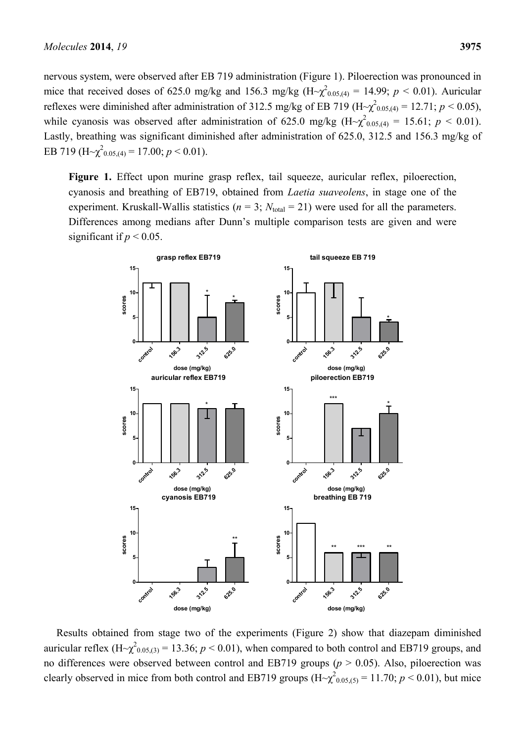nervous system, were observed after EB 719 administration (Figure 1). Piloerection was pronounced in mice that received doses of 625.0 mg/kg and 156.3 mg/kg  $(H \sim \chi^2_{0.05,(4)} = 14.99; p < 0.01)$ . Auricular reflexes were diminished after administration of 312.5 mg/kg of EB 719 ( $H_{\gamma} \gamma_{0.05,(4)}^2 = 12.71$ ;  $p < 0.05$ ), while cyanosis was observed after administration of 625.0 mg/kg ( $H \sim \chi^2$ <sub>0.05,(4)</sub> = 15.61; *p* < 0.01). Lastly, breathing was significant diminished after administration of 625.0, 312.5 and 156.3 mg/kg of EB 719 ( $H \sim \chi^2$ <sub>0.05,(4)</sub> = 17.00;  $p < 0.01$ ).

**Figure 1.** Effect upon murine grasp reflex, tail squeeze, auricular reflex, piloerection, cyanosis and breathing of EB719, obtained from *Laetia suaveolens*, in stage one of the experiment. Kruskall-Wallis statistics ( $n = 3$ ;  $N_{total} = 21$ ) were used for all the parameters. Differences among medians after Dunn's multiple comparison tests are given and were significant if  $p < 0.05$ .



Results obtained from stage two of the experiments (Figure 2) show that diazepam diminished auricular reflex  $(H \sim \chi^2_{0.05(3)} = 13.36; p < 0.01)$ , when compared to both control and EB719 groups, and no differences were observed between control and EB719 groups ( $p > 0.05$ ). Also, piloerection was clearly observed in mice from both control and EB719 groups  $(H \sim \chi^2_{0.05,(5)} = 11.70; p < 0.01)$ , but mice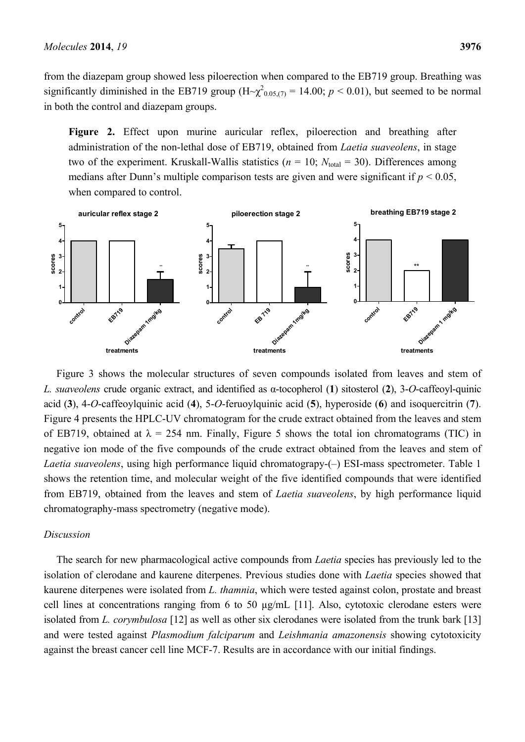from the diazepam group showed less piloerection when compared to the EB719 group. Breathing was significantly diminished in the EB719 group  $(H \sim \chi^2_{0.05}(7) = 14.00; p < 0.01)$ , but seemed to be normal in both the control and diazepam groups.

**Figure 2.** Effect upon murine auricular reflex, piloerection and breathing after administration of the non-lethal dose of EB719, obtained from *Laetia suaveolens*, in stage two of the experiment. Kruskall-Wallis statistics ( $n = 10$ ;  $N_{total} = 30$ ). Differences among medians after Dunn's multiple comparison tests are given and were significant if  $p < 0.05$ , when compared to control.



Figure 3 shows the molecular structures of seven compounds isolated from leaves and stem of *L. suaveolens* crude organic extract, and identified as α-tocopherol (**1**) sitosterol (**2**), 3-*O*-caffeoyl-quinic acid (**3**), 4-*O*-caffeoylquinic acid (**4**), 5-*O*-feruoylquinic acid (**5**), hyperoside (**6**) and isoquercitrin (**7**). Figure 4 presents the HPLC-UV chromatogram for the crude extract obtained from the leaves and stem of EB719, obtained at  $\lambda = 254$  nm. Finally, Figure 5 shows the total ion chromatograms (TIC) in negative ion mode of the five compounds of the crude extract obtained from the leaves and stem of *Laetia suaveolens*, using high performance liquid chromatograpy-(-) ESI-mass spectrometer. Table 1 shows the retention time, and molecular weight of the five identified compounds that were identified from EB719, obtained from the leaves and stem of *Laetia suaveolens*, by high performance liquid chromatography-mass spectrometry (negative mode).

#### *Discussion*

The search for new pharmacological active compounds from *Laetia* species has previously led to the isolation of clerodane and kaurene diterpenes. Previous studies done with *Laetia* species showed that kaurene diterpenes were isolated from *L. thamnia*, which were tested against colon, prostate and breast cell lines at concentrations ranging from 6 to 50 µg/mL [11]. Also, cytotoxic clerodane esters were isolated from *L. corymbulosa* [12] as well as other six clerodanes were isolated from the trunk bark [13] and were tested against *Plasmodium falciparum* and *Leishmania amazonensis* showing cytotoxicity against the breast cancer cell line MCF-7. Results are in accordance with our initial findings.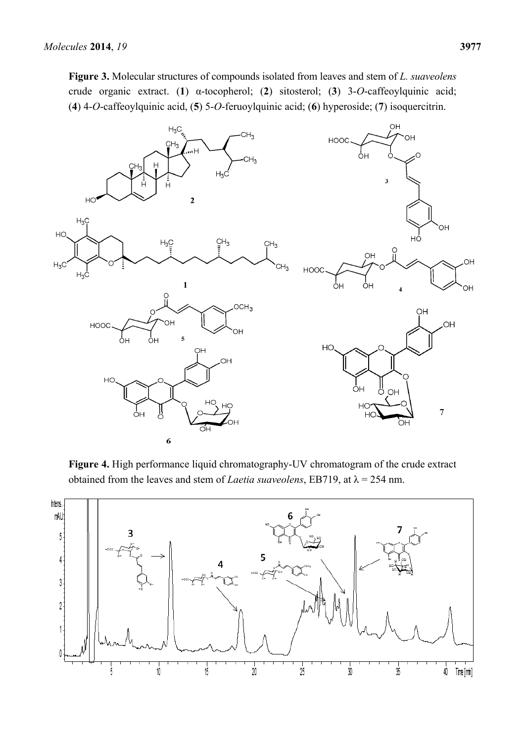**Figure 3.** Molecular structures of compounds isolated from leaves and stem of *L. suaveolens* crude organic extract. (**1**) α-tocopherol; (**2**) sitosterol; (**3**) 3-*O*-caffeoylquinic acid; (**4**) 4-*O*-caffeoylquinic acid, (**5**) 5-*O*-feruoylquinic acid; (**6**) hyperoside; (**7**) isoquercitrin.



**Figure 4.** High performance liquid chromatography-UV chromatogram of the crude extract obtained from the leaves and stem of *Laetia suaveolens*, EB719, at  $\lambda$  = 254 nm.

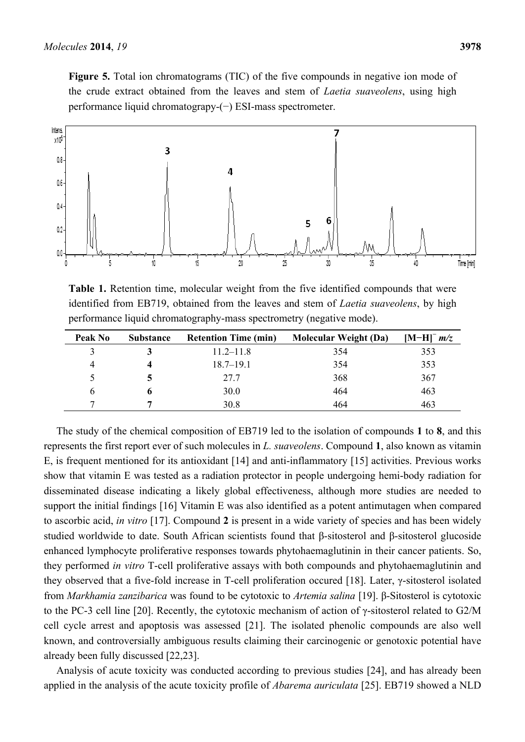**Figure 5.** Total ion chromatograms (TIC) of the five compounds in negative ion mode of the crude extract obtained from the leaves and stem of *Laetia suaveolens*, using high performance liquid chromatograpy-(−) ESI-mass spectrometer.



**Table 1.** Retention time, molecular weight from the five identified compounds that were identified from EB719, obtained from the leaves and stem of *Laetia suaveolens*, by high performance liquid chromatography-mass spectrometry (negative mode).

| Peak No       | <b>Substance</b> | <b>Retention Time (min)</b> | <b>Molecular Weight (Da)</b> | $[M-H]$ <sup>-</sup> $m/z$ |
|---------------|------------------|-----------------------------|------------------------------|----------------------------|
|               |                  | $11.2 - 11.8$               | 354                          | 353                        |
|               |                  | $18.7 - 19.1$               | 354                          | 353                        |
|               |                  | 27.7                        | 368                          | 367                        |
| $\mathfrak b$ |                  | 30.0                        | 464                          | 463                        |
|               |                  | 30.8                        | 464                          | 463                        |

The study of the chemical composition of EB719 led to the isolation of compounds **1** to **8**, and this represents the first report ever of such molecules in *L. suaveolens*. Compound **1**, also known as vitamin E, is frequent mentioned for its antioxidant [14] and anti-inflammatory [15] activities. Previous works show that vitamin E was tested as a radiation protector in people undergoing hemi-body radiation for disseminated disease indicating a likely global effectiveness, although more studies are needed to support the initial findings [16] Vitamin E was also identified as a potent antimutagen when compared to ascorbic acid, *in vitro* [17]. Compound **2** is present in a wide variety of species and has been widely studied worldwide to date. South African scientists found that β-sitosterol and β-sitosterol glucoside enhanced lymphocyte proliferative responses towards phytohaemaglutinin in their cancer patients. So, they performed *in vitro* T-cell proliferative assays with both compounds and phytohaemaglutinin and they observed that a five-fold increase in T-cell proliferation occured [18]. Later, γ-sitosterol isolated from *Markhamia zanzibarica* was found to be cytotoxic to *Artemia salina* [19]. β-Sitosterol is cytotoxic to the PC-3 cell line [20]. Recently, the cytotoxic mechanism of action of γ-sitosterol related to G2/M cell cycle arrest and apoptosis was assessed [21]. The isolated phenolic compounds are also well known, and controversially ambiguous results claiming their carcinogenic or genotoxic potential have already been fully discussed [22,23].

Analysis of acute toxicity was conducted according to previous studies [24], and has already been applied in the analysis of the acute toxicity profile of *Abarema auriculata* [25]. EB719 showed a NLD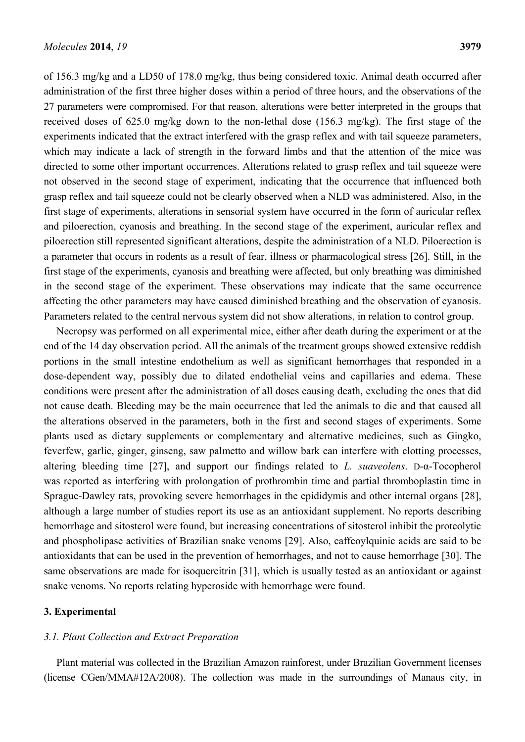of 156.3 mg/kg and a LD50 of 178.0 mg/kg, thus being considered toxic. Animal death occurred after administration of the first three higher doses within a period of three hours, and the observations of the 27 parameters were compromised. For that reason, alterations were better interpreted in the groups that received doses of 625.0 mg/kg down to the non-lethal dose (156.3 mg/kg). The first stage of the experiments indicated that the extract interfered with the grasp reflex and with tail squeeze parameters, which may indicate a lack of strength in the forward limbs and that the attention of the mice was directed to some other important occurrences. Alterations related to grasp reflex and tail squeeze were not observed in the second stage of experiment, indicating that the occurrence that influenced both grasp reflex and tail squeeze could not be clearly observed when a NLD was administered. Also, in the first stage of experiments, alterations in sensorial system have occurred in the form of auricular reflex and piloerection, cyanosis and breathing. In the second stage of the experiment, auricular reflex and piloerection still represented significant alterations, despite the administration of a NLD. Piloerection is a parameter that occurs in rodents as a result of fear, illness or pharmacological stress [26]. Still, in the first stage of the experiments, cyanosis and breathing were affected, but only breathing was diminished in the second stage of the experiment. These observations may indicate that the same occurrence affecting the other parameters may have caused diminished breathing and the observation of cyanosis. Parameters related to the central nervous system did not show alterations, in relation to control group.

Necropsy was performed on all experimental mice, either after death during the experiment or at the end of the 14 day observation period. All the animals of the treatment groups showed extensive reddish portions in the small intestine endothelium as well as significant hemorrhages that responded in a dose-dependent way, possibly due to dilated endothelial veins and capillaries and edema. These conditions were present after the administration of all doses causing death, excluding the ones that did not cause death. Bleeding may be the main occurrence that led the animals to die and that caused all the alterations observed in the parameters, both in the first and second stages of experiments. Some plants used as dietary supplements or complementary and alternative medicines, such as Gingko, feverfew, garlic, ginger, ginseng, saw palmetto and willow bark can interfere with clotting processes, altering bleeding time [27], and support our findings related to *L. suaveolens*. D-α-Tocopherol was reported as interfering with prolongation of prothrombin time and partial thromboplastin time in Sprague-Dawley rats, provoking severe hemorrhages in the epididymis and other internal organs [28], although a large number of studies report its use as an antioxidant supplement. No reports describing hemorrhage and sitosterol were found, but increasing concentrations of sitosterol inhibit the proteolytic and phospholipase activities of Brazilian snake venoms [29]. Also, caffeoylquinic acids are said to be antioxidants that can be used in the prevention of hemorrhages, and not to cause hemorrhage [30]. The same observations are made for isoquercitrin [31], which is usually tested as an antioxidant or against snake venoms. No reports relating hyperoside with hemorrhage were found.

## **3. Experimental**

#### *3.1. Plant Collection and Extract Preparation*

Plant material was collected in the Brazilian Amazon rainforest, under Brazilian Government licenses (license CGen/MMA#12A/2008). The collection was made in the surroundings of Manaus city, in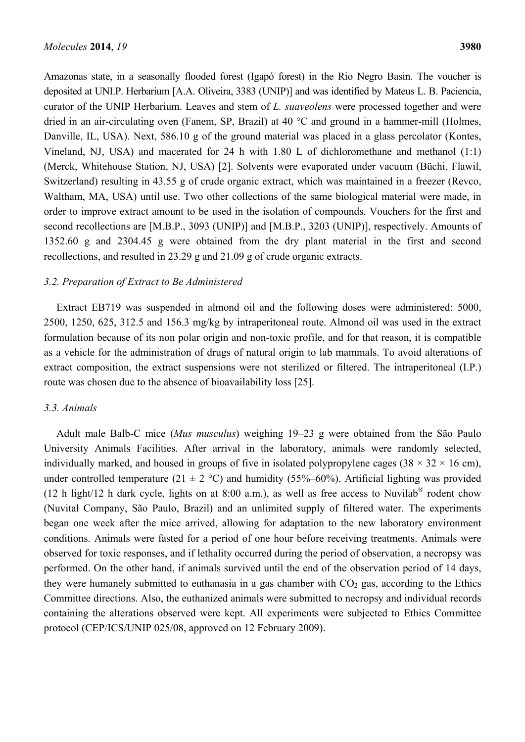Amazonas state, in a seasonally flooded forest (Igapó forest) in the Rio Negro Basin. The voucher is deposited at UNI.P. Herbarium [A.A. Oliveira, 3383 (UNIP)] and was identified by Mateus L. B. Paciencia, curator of the UNIP Herbarium. Leaves and stem of *L. suaveolens* were processed together and were dried in an air-circulating oven (Fanem, SP, Brazil) at 40 °C and ground in a hammer-mill (Holmes, Danville, IL, USA). Next, 586.10 g of the ground material was placed in a glass percolator (Kontes, Vineland, NJ, USA) and macerated for 24 h with 1.80 L of dichloromethane and methanol (1:1) (Merck, Whitehouse Station, NJ, USA) [2]. Solvents were evaporated under vacuum (Büchi, Flawil, Switzerland) resulting in 43.55 g of crude organic extract, which was maintained in a freezer (Revco, Waltham, MA, USA) until use. Two other collections of the same biological material were made, in order to improve extract amount to be used in the isolation of compounds. Vouchers for the first and second recollections are [M.B.P., 3093 (UNIP)] and [M.B.P., 3203 (UNIP)], respectively. Amounts of 1352.60 g and 2304.45 g were obtained from the dry plant material in the first and second recollections, and resulted in 23.29 g and 21.09 g of crude organic extracts.

#### *3.2. Preparation of Extract to Be Administered*

Extract EB719 was suspended in almond oil and the following doses were administered: 5000, 2500, 1250, 625, 312.5 and 156.3 mg/kg by intraperitoneal route. Almond oil was used in the extract formulation because of its non polar origin and non-toxic profile, and for that reason, it is compatible as a vehicle for the administration of drugs of natural origin to lab mammals. To avoid alterations of extract composition, the extract suspensions were not sterilized or filtered. The intraperitoneal (I.P.) route was chosen due to the absence of bioavailability loss [25].

#### *3.3. Animals*

Adult male Balb-C mice (*Mus musculus*) weighing 19–23 g were obtained from the São Paulo University Animals Facilities. After arrival in the laboratory, animals were randomly selected, individually marked, and housed in groups of five in isolated polypropylene cages ( $38 \times 32 \times 16$  cm), under controlled temperature (21  $\pm$  2 °C) and humidity (55%–60%). Artificial lighting was provided (12 h light/12 h dark cycle, lights on at 8:00 a.m.), as well as free access to Nuvilab<sup>®</sup> rodent chow (Nuvital Company, São Paulo, Brazil) and an unlimited supply of filtered water. The experiments began one week after the mice arrived, allowing for adaptation to the new laboratory environment conditions. Animals were fasted for a period of one hour before receiving treatments. Animals were observed for toxic responses, and if lethality occurred during the period of observation, a necropsy was performed. On the other hand, if animals survived until the end of the observation period of 14 days, they were humanely submitted to euthanasia in a gas chamber with  $CO<sub>2</sub>$  gas, according to the Ethics Committee directions. Also, the euthanized animals were submitted to necropsy and individual records containing the alterations observed were kept. All experiments were subjected to Ethics Committee protocol (CEP/ICS/UNIP 025/08, approved on 12 February 2009).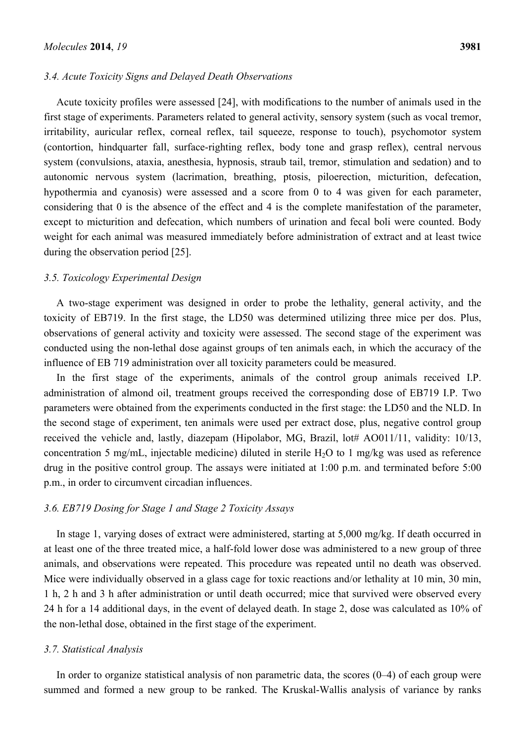#### *3.4. Acute Toxicity Signs and Delayed Death Observations*

Acute toxicity profiles were assessed [24], with modifications to the number of animals used in the first stage of experiments. Parameters related to general activity, sensory system (such as vocal tremor, irritability, auricular reflex, corneal reflex, tail squeeze, response to touch), psychomotor system (contortion, hindquarter fall, surface-righting reflex, body tone and grasp reflex), central nervous system (convulsions, ataxia, anesthesia, hypnosis, straub tail, tremor, stimulation and sedation) and to autonomic nervous system (lacrimation, breathing, ptosis, piloerection, micturition, defecation, hypothermia and cyanosis) were assessed and a score from 0 to 4 was given for each parameter, considering that 0 is the absence of the effect and 4 is the complete manifestation of the parameter, except to micturition and defecation, which numbers of urination and fecal boli were counted. Body weight for each animal was measured immediately before administration of extract and at least twice during the observation period [25].

#### *3.5. Toxicology Experimental Design*

A two-stage experiment was designed in order to probe the lethality, general activity, and the toxicity of EB719. In the first stage, the LD50 was determined utilizing three mice per dos. Plus, observations of general activity and toxicity were assessed. The second stage of the experiment was conducted using the non-lethal dose against groups of ten animals each, in which the accuracy of the influence of EB 719 administration over all toxicity parameters could be measured.

In the first stage of the experiments, animals of the control group animals received I.P. administration of almond oil, treatment groups received the corresponding dose of EB719 I.P. Two parameters were obtained from the experiments conducted in the first stage: the LD50 and the NLD. In the second stage of experiment, ten animals were used per extract dose, plus, negative control group received the vehicle and, lastly, diazepam (Hipolabor, MG, Brazil, lot# AO011/11, validity: 10/13, concentration 5 mg/mL, injectable medicine) diluted in sterile  $H_2O$  to 1 mg/kg was used as reference drug in the positive control group. The assays were initiated at 1:00 p.m. and terminated before 5:00 p.m., in order to circumvent circadian influences.

#### *3.6. EB719 Dosing for Stage 1 and Stage 2 Toxicity Assays*

In stage 1, varying doses of extract were administered, starting at 5,000 mg/kg. If death occurred in at least one of the three treated mice, a half-fold lower dose was administered to a new group of three animals, and observations were repeated. This procedure was repeated until no death was observed. Mice were individually observed in a glass cage for toxic reactions and/or lethality at 10 min, 30 min, 1 h, 2 h and 3 h after administration or until death occurred; mice that survived were observed every 24 h for a 14 additional days, in the event of delayed death. In stage 2, dose was calculated as 10% of the non-lethal dose, obtained in the first stage of the experiment.

#### *3.7. Statistical Analysis*

In order to organize statistical analysis of non parametric data, the scores (0–4) of each group were summed and formed a new group to be ranked. The Kruskal-Wallis analysis of variance by ranks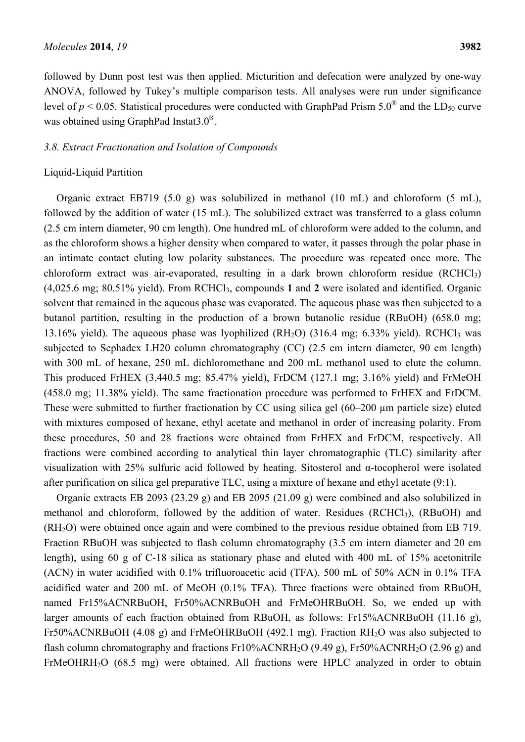followed by Dunn post test was then applied. Micturition and defecation were analyzed by one-way ANOVA, followed by Tukey's multiple comparison tests. All analyses were run under significance level of  $p < 0.05$ . Statistical procedures were conducted with GraphPad Prism 5.0<sup>®</sup> and the LD<sub>50</sub> curve was obtained using GraphPad Instat3.0<sup>®</sup>.

#### *3.8. Extract Fractionation and Isolation of Compounds*

#### Liquid-Liquid Partition

Organic extract EB719 (5.0 g) was solubilized in methanol (10 mL) and chloroform (5 mL), followed by the addition of water (15 mL). The solubilized extract was transferred to a glass column (2.5 cm intern diameter, 90 cm length). One hundred mL of chloroform were added to the column, and as the chloroform shows a higher density when compared to water, it passes through the polar phase in an intimate contact eluting low polarity substances. The procedure was repeated once more. The chloroform extract was air-evaporated, resulting in a dark brown chloroform residue  $(RCHCl<sub>3</sub>)$ (4,025.6 mg; 80.51% yield). From RCHCl3, compounds **1** and **2** were isolated and identified. Organic solvent that remained in the aqueous phase was evaporated. The aqueous phase was then subjected to a butanol partition, resulting in the production of a brown butanolic residue (RBuOH) (658.0 mg; 13.16% yield). The aqueous phase was lyophilized  $(RH<sub>2</sub>O)$  (316.4 mg; 6.33% yield). RCHCl<sub>3</sub> was subjected to Sephadex LH20 column chromatography (CC) (2.5 cm intern diameter, 90 cm length) with 300 mL of hexane, 250 mL dichloromethane and 200 mL methanol used to elute the column. This produced FrHEX (3,440.5 mg; 85.47% yield), FrDCM (127.1 mg; 3.16% yield) and FrMeOH (458.0 mg; 11.38% yield). The same fractionation procedure was performed to FrHEX and FrDCM. These were submitted to further fractionation by CC using silica gel (60-200 µm particle size) eluted with mixtures composed of hexane, ethyl acetate and methanol in order of increasing polarity. From these procedures, 50 and 28 fractions were obtained from FrHEX and FrDCM, respectively. All fractions were combined according to analytical thin layer chromatographic (TLC) similarity after visualization with 25% sulfuric acid followed by heating. Sitosterol and α-tocopherol were isolated after purification on silica gel preparative TLC, using a mixture of hexane and ethyl acetate (9:1).

Organic extracts EB 2093 (23.29 g) and EB 2095 (21.09 g) were combined and also solubilized in methanol and chloroform, followed by the addition of water. Residues  $(RCHCl<sub>3</sub>)$ ,  $(RBuOH)$  and (RH2O) were obtained once again and were combined to the previous residue obtained from EB 719. Fraction RBuOH was subjected to flash column chromatography (3.5 cm intern diameter and 20 cm length), using 60 g of C-18 silica as stationary phase and eluted with 400 mL of 15% acetonitrile (ACN) in water acidified with 0.1% trifluoroacetic acid (TFA), 500 mL of 50% ACN in 0.1% TFA acidified water and 200 mL of MeOH (0.1% TFA). Three fractions were obtained from RBuOH, named Fr15%ACNRBuOH, Fr50%ACNRBuOH and FrMeOHRBuOH. So, we ended up with larger amounts of each fraction obtained from RBuOH, as follows: Fr15%ACNRBuOH (11.16 g), Fr50%ACNRBuOH (4.08 g) and FrMeOHRBuOH (492.1 mg). Fraction  $RH_2O$  was also subjected to flash column chromatography and fractions  $Fr10\%$ ACNRH<sub>2</sub>O (9.49 g),  $Fr50\%$ ACNRH<sub>2</sub>O (2.96 g) and FrMeOHRH<sub>2</sub>O (68.5 mg) were obtained. All fractions were HPLC analyzed in order to obtain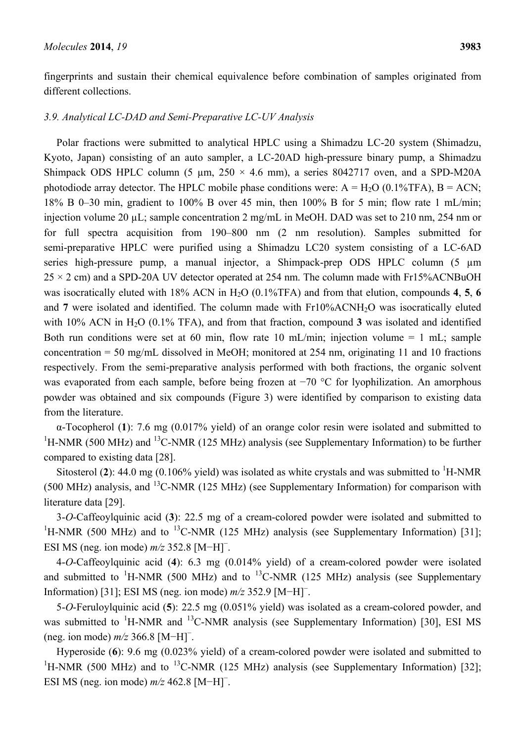fingerprints and sustain their chemical equivalence before combination of samples originated from different collections.

#### *3.9. Analytical LC-DAD and Semi-Preparative LC-UV Analysis*

Polar fractions were submitted to analytical HPLC using a Shimadzu LC-20 system (Shimadzu, Kyoto, Japan) consisting of an auto sampler, a LC-20AD high-pressure binary pump, a Shimadzu Shimpack ODS HPLC column (5  $\mu$ m, 250  $\times$  4.6 mm), a series 8042717 oven, and a SPD-M20A photodiode array detector. The HPLC mobile phase conditions were:  $A = H<sub>2</sub>O (0.1\% TFA)$ ,  $B = ACN$ ; 18% B 0–30 min, gradient to 100% B over 45 min, then 100% B for 5 min; flow rate 1 mL/min; injection volume 20 µL; sample concentration 2 mg/mL in MeOH. DAD was set to 210 nm, 254 nm or for full spectra acquisition from 190–800 nm (2 nm resolution). Samples submitted for semi-preparative HPLC were purified using a Shimadzu LC20 system consisting of a LC-6AD series high-pressure pump, a manual injector, a Shimpack-prep ODS HPLC column (5  $\mu$ m  $25 \times 2$  cm) and a SPD-20A UV detector operated at 254 nm. The column made with Fr15%ACNBuOH was isocratically eluted with 18% ACN in H2O (0.1%TFA) and from that elution, compounds **4**, **5**, **6** and 7 were isolated and identified. The column made with Fr10%ACNH<sub>2</sub>O was isocratically eluted with 10% ACN in H<sub>2</sub>O (0.1% TFA), and from that fraction, compound 3 was isolated and identified Both run conditions were set at 60 min, flow rate 10 mL/min; injection volume = 1 mL; sample concentration = 50 mg/mL dissolved in MeOH; monitored at 254 nm, originating 11 and 10 fractions respectively. From the semi-preparative analysis performed with both fractions, the organic solvent was evaporated from each sample, before being frozen at −70 °C for lyophilization. An amorphous powder was obtained and six compounds (Figure 3) were identified by comparison to existing data from the literature.

α-Tocopherol (**1**): 7.6 mg (0.017% yield) of an orange color resin were isolated and submitted to <sup>1</sup>H-NMR (500 MHz) and <sup>13</sup>C-NMR (125 MHz) analysis (see Supplementary Information) to be further compared to existing data [28].

Sitosterol (2): 44.0 mg (0.106% yield) was isolated as white crystals and was submitted to <sup>1</sup>H-NMR (500 MHz) analysis, and <sup>13</sup>C-NMR (125 MHz) (see Supplementary Information) for comparison with literature data [29].

3-*O*-Caffeoylquinic acid (**3**): 22.5 mg of a cream-colored powder were isolated and submitted to <sup>1</sup>H-NMR (500 MHz) and to <sup>13</sup>C-NMR (125 MHz) analysis (see Supplementary Information) [31]; ESI MS (neg. ion mode) *m/z* 352.8 [M−H]<sup>−</sup> .

4-*O*-Caffeoylquinic acid (**4**): 6.3 mg (0.014% yield) of a cream-colored powder were isolated and submitted to <sup>1</sup>H-NMR (500 MHz) and to <sup>13</sup>C-NMR (125 MHz) analysis (see Supplementary Information) [31]; ESI MS (neg. ion mode) *m/z* 352.9 [M−H]<sup>−</sup> .

5-*O*-Feruloylquinic acid (**5**): 22.5 mg (0.051% yield) was isolated as a cream-colored powder, and was submitted to  ${}^{1}$ H-NMR and  ${}^{13}$ C-NMR analysis (see Supplementary Information) [30], ESI MS (neg. ion mode) *m/z* 366.8 [M−H]<sup>−</sup> .

Hyperoside (**6**): 9.6 mg (0.023% yield) of a cream-colored powder were isolated and submitted to <sup>1</sup>H-NMR (500 MHz) and to <sup>13</sup>C-NMR (125 MHz) analysis (see Supplementary Information) [32]; ESI MS (neg. ion mode) *m/z* 462.8 [M−H]<sup>−</sup> .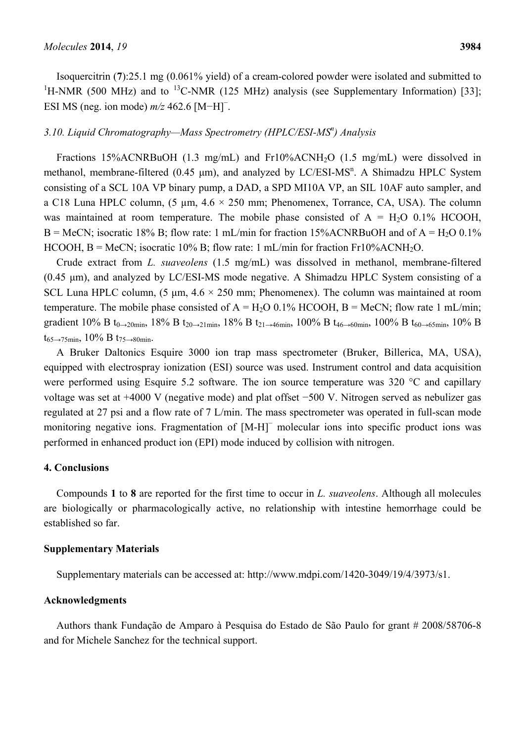Isoquercitrin (**7**):25.1 mg (0.061% yield) of a cream-colored powder were isolated and submitted to <sup>1</sup>H-NMR (500 MHz) and to <sup>13</sup>C-NMR (125 MHz) analysis (see Supplementary Information) [33]; ESI MS (neg. ion mode) *m/z* 462.6 [M−H]<sup>−</sup> .

## 3.10. Liquid Chromatography-Mass Spectrometry (HPLC/ESI-MS<sup>n</sup>) Analysis

Fractions 15%ACNRBuOH (1.3 mg/mL) and Fr10%ACNH<sub>2</sub>O (1.5 mg/mL) were dissolved in methanol, membrane-filtered (0.45 μm), and analyzed by LC/ESI-MS<sup>n</sup>. A Shimadzu HPLC System consisting of a SCL 10A VP binary pump, a DAD, a SPD MI10A VP, an SIL 10AF auto sampler, and a C18 Luna HPLC column,  $(5 \mu m, 4.6 \times 250 \text{ mm})$ ; Phenomenex, Torrance, CA, USA). The column was maintained at room temperature. The mobile phase consisted of  $A = H<sub>2</sub>O$  0.1% HCOOH, B = MeCN; isocratic 18% B; flow rate: 1 mL/min for fraction 15%ACNRBuOH and of  $A = H<sub>2</sub>O$  0.1% HCOOH,  $B = MeCN$ ; isocratic 10% B; flow rate: 1 mL/min for fraction Fr10%ACNH<sub>2</sub>O.

Crude extract from *L. suaveolens* (1.5 mg/mL) was dissolved in methanol, membrane-filtered (0.45 μm), and analyzed by LC/ESI-MS mode negative. A Shimadzu HPLC System consisting of a SCL Luna HPLC column,  $(5 \mu m, 4.6 \times 250 \text{ mm})$ ; Phenomenex). The column was maintained at room temperature. The mobile phase consisted of  $A = H<sub>2</sub>O$  0.1% HCOOH,  $B = MeCN$ ; flow rate 1 mL/min; gradient 10% B t<sub>0→20min</sub>, 18% B t<sub>20→21min</sub>, 18% B t<sub>21→46min</sub>, 100% B t<sub>46→60min</sub>, 100% B t<sub>60→65min</sub>, 10% B  $t_{65\rightarrow 75min}$ , 10% B  $t_{75\rightarrow 80min}$ .

A Bruker Daltonics Esquire 3000 ion trap mass spectrometer (Bruker, Billerica, MA, USA), equipped with electrospray ionization (ESI) source was used. Instrument control and data acquisition were performed using Esquire 5.2 software. The ion source temperature was 320 °C and capillary voltage was set at +4000 V (negative mode) and plat offset −500 V. Nitrogen served as nebulizer gas regulated at 27 psi and a flow rate of 7 L/min. The mass spectrometer was operated in full-scan mode monitoring negative ions. Fragmentation of [M-H]<sup>−</sup> molecular ions into specific product ions was performed in enhanced product ion (EPI) mode induced by collision with nitrogen.

#### **4. Conclusions**

Compounds **1** to **8** are reported for the first time to occur in *L. suaveolens*. Although all molecules are biologically or pharmacologically active, no relationship with intestine hemorrhage could be established so far.

#### **Supplementary Materials**

Supplementary materials can be accessed at: http://www.mdpi.com/1420-3049/19/4/3973/s1.

#### **Acknowledgments**

Authors thank Fundação de Amparo à Pesquisa do Estado de São Paulo for grant # 2008/58706-8 and for Michele Sanchez for the technical support.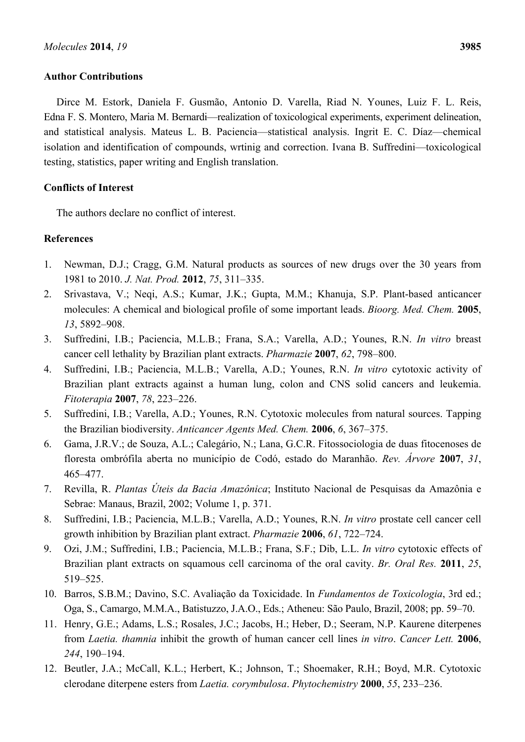## **Author Contributions**

Dirce M. Estork, Daniela F. Gusmão, Antonio D. Varella, Riad N. Younes, Luiz F. L. Reis, Edna F. S. Montero, Maria M. Bernardi—realization of toxicological experiments, experiment delineation, and statistical analysis. Mateus L. B. Paciencia—statistical analysis. Ingrit E. C. Díaz—chemical isolation and identification of compounds, wrtinig and correction. Ivana B. Suffredini—toxicological testing, statistics, paper writing and English translation.

## **Conflicts of Interest**

The authors declare no conflict of interest.

## **References**

- 1. Newman, D.J.; Cragg, G.M. Natural products as sources of new drugs over the 30 years from 1981 to 2010. *J. Nat. Prod.* **2012**, *75*, 311–335.
- 2. Srivastava, V.; Neqi, A.S.; Kumar, J.K.; Gupta, M.M.; Khanuja, S.P. Plant-based anticancer molecules: A chemical and biological profile of some important leads. *Bioorg. Med. Chem.* **2005**, *13*, 5892–908.
- 3. Suffredini, I.B.; Paciencia, M.L.B.; Frana, S.A.; Varella, A.D.; Younes, R.N. *In vitro* breast cancer cell lethality by Brazilian plant extracts. *Pharmazie* **2007**, *62*, 798–800.
- 4. Suffredini, I.B.; Paciencia, M.L.B.; Varella, A.D.; Younes, R.N. *In vitro* cytotoxic activity of Brazilian plant extracts against a human lung, colon and CNS solid cancers and leukemia. *Fitoterapia* **2007**, *78*, 223–226.
- 5. Suffredini, I.B.; Varella, A.D.; Younes, R.N. Cytotoxic molecules from natural sources. Tapping the Brazilian biodiversity. *Anticancer Agents Med. Chem.* **2006**, *6*, 367–375.
- 6. Gama, J.R.V.; de Souza, A.L.; Calegário, N.; Lana, G.C.R. Fitossociologia de duas fitocenoses de floresta ombrófila aberta no município de Codó, estado do Maranhão. *Rev. Árvore* **2007**, *31*, 465–477.
- 7. Revilla, R. *Plantas Úteis da Bacia Amazônica*; Instituto Nacional de Pesquisas da Amazônia e Sebrae: Manaus, Brazil, 2002; Volume 1, p. 371.
- 8. Suffredini, I.B.; Paciencia, M.L.B.; Varella, A.D.; Younes, R.N. *In vitro* prostate cell cancer cell growth inhibition by Brazilian plant extract. *Pharmazie* **2006**, *61*, 722–724.
- 9. Ozi, J.M.; Suffredini, I.B.; Paciencia, M.L.B.; Frana, S.F.; Dib, L.L. *In vitro* cytotoxic effects of Brazilian plant extracts on squamous cell carcinoma of the oral cavity. *Br. Oral Res.* **2011**, *25*, 519–525.
- 10. Barros, S.B.M.; Davino, S.C. Avaliação da Toxicidade. In *Fundamentos de Toxicologia*, 3rd ed.; Oga, S., Camargo, M.M.A., Batistuzzo, J.A.O., Eds.; Atheneu: São Paulo, Brazil, 2008; pp. 59–70.
- 11. Henry, G.E.; Adams, L.S.; Rosales, J.C.; Jacobs, H.; Heber, D.; Seeram, N.P. Kaurene diterpenes from *Laetia. thamnia* inhibit the growth of human cancer cell lines *in vitro*. *Cancer Lett.* **2006**, *244*, 190–194.
- 12. Beutler, J.A.; McCall, K.L.; Herbert, K.; Johnson, T.; Shoemaker, R.H.; Boyd, M.R. Cytotoxic clerodane diterpene esters from *Laetia. corymbulosa*. *Phytochemistry* **2000**, *55*, 233–236.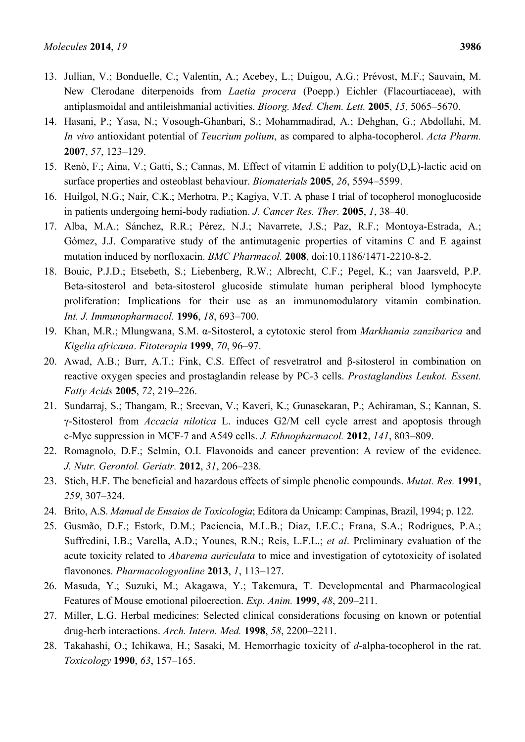- 13. Jullian, V.; Bonduelle, C.; Valentin, A.; Acebey, L.; Duigou, A.G.; Prévost, M.F.; Sauvain, M. New Clerodane diterpenoids from *Laetia procera* (Poepp.) Eichler (Flacourtiaceae), with antiplasmoidal and antileishmanial activities. *Bioorg. Med. Chem. Lett.* **2005**, *15*, 5065–5670.
- 14. Hasani, P.; Yasa, N.; Vosough-Ghanbari, S.; Mohammadirad, A.; Dehghan, G.; Abdollahi, M. *In vivo* antioxidant potential of *Teucrium polium*, as compared to alpha-tocopherol. *Acta Pharm.* **2007**, *57*, 123–129.
- 15. Renò, F.; Aina, V.; Gatti, S.; Cannas, M. Effect of vitamin E addition to poly(D,L)-lactic acid on surface properties and osteoblast behaviour. *Biomaterials* **2005**, *26*, 5594–5599.
- 16. Huilgol, N.G.; Nair, C.K.; Merhotra, P.; Kagiya, V.T. A phase I trial of tocopherol monoglucoside in patients undergoing hemi-body radiation. *J. Cancer Res. Ther.* **2005**, *1*, 38–40.
- 17. Alba, M.A.; Sánchez, R.R.; Pérez, N.J.; Navarrete, J.S.; Paz, R.F.; Montoya-Estrada, A.; Gómez, J.J. Comparative study of the antimutagenic properties of vitamins C and E against mutation induced by norfloxacin. *BMC Pharmacol.* **2008**, doi:10.1186/1471-2210-8-2.
- 18. Bouic, P.J.D.; Etsebeth, S.; Liebenberg, R.W.; Albrecht, C.F.; Pegel, K.; van Jaarsveld, P.P. Beta-sitosterol and beta-sitosterol glucoside stimulate human peripheral blood lymphocyte proliferation: Implications for their use as an immunomodulatory vitamin combination. *Int. J. Immunopharmacol.* **1996**, *18*, 693–700.
- 19. Khan, M.R.; Mlungwana, S.M. α-Sitosterol, a cytotoxic sterol from *Markhamia zanzibarica* and *Kigelia africana*. *Fitoterapia* **1999**, *70*, 96–97.
- 20. Awad, A.B.; Burr, A.T.; Fink, C.S. Effect of resvetratrol and β-sitosterol in combination on reactive oxygen species and prostaglandin release by PC-3 cells. *Prostaglandins Leukot. Essent. Fatty Acids* **2005**, *72*, 219–226.
- 21. Sundarraj, S.; Thangam, R.; Sreevan, V.; Kaveri, K.; Gunasekaran, P.; Achiraman, S.; Kannan, S. γ-Sitosterol from *Accacia nilotica* L. induces G2/M cell cycle arrest and apoptosis through c-Myc suppression in MCF-7 and A549 cells. *J. Ethnopharmacol.* **2012**, *141*, 803–809.
- 22. Romagnolo, D.F.; Selmin, O.I. Flavonoids and cancer prevention: A review of the evidence. *J. Nutr. Gerontol. Geriatr.* **2012**, *31*, 206–238.
- 23. Stich, H.F. The beneficial and hazardous effects of simple phenolic compounds. *Mutat. Res.* **1991**, *259*, 307–324.
- 24. Brito, A.S. *Manual de Ensaios de Toxicologia*; Editora da Unicamp: Campinas, Brazil, 1994; p. 122.
- 25. Gusmão, D.F.; Estork, D.M.; Paciencia, M.L.B.; Diaz, I.E.C.; Frana, S.A.; Rodrigues, P.A.; Suffredini, I.B.; Varella, A.D.; Younes, R.N.; Reis, L.F.L.; *et al*. Preliminary evaluation of the acute toxicity related to *Abarema auriculata* to mice and investigation of cytotoxicity of isolated flavonones. *Pharmacologyonline* **2013**, *1*, 113–127.
- 26. Masuda, Y.; Suzuki, M.; Akagawa, Y.; Takemura, T. Developmental and Pharmacological Features of Mouse emotional piloerection. *Exp. Anim.* **1999**, *48*, 209–211.
- 27. Miller, L.G. Herbal medicines: Selected clinical considerations focusing on known or potential drug-herb interactions. *Arch. Intern. Med.* **1998**, *58*, 2200–2211.
- 28. Takahashi, O.; Ichikawa, H.; Sasaki, M. Hemorrhagic toxicity of *d*-alpha-tocopherol in the rat. *Toxicology* **1990**, *63*, 157–165.